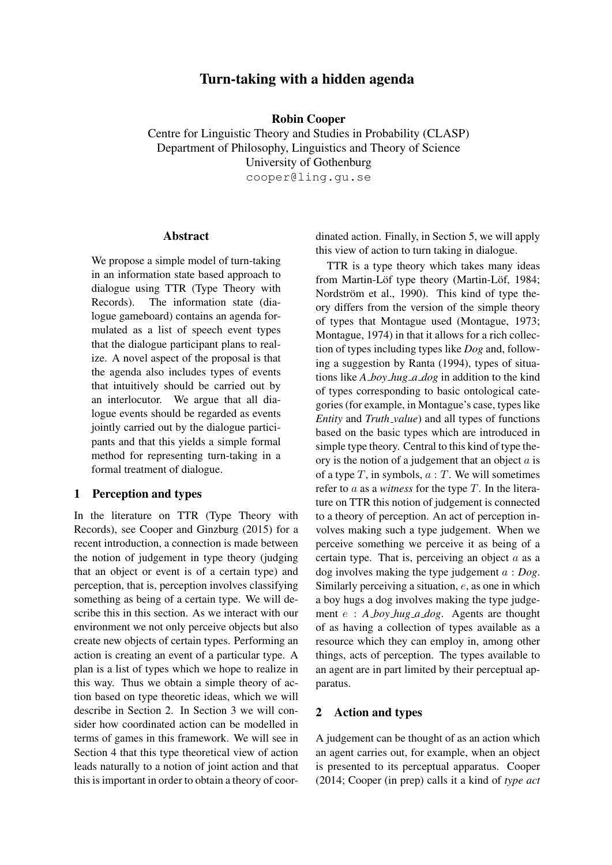# Turn-taking with a hidden agenda

Robin Cooper

Centre for Linguistic Theory and Studies in Probability (CLASP) Department of Philosophy, Linguistics and Theory of Science University of Gothenburg cooper@ling.gu.se

### Abstract

We propose a simple model of turn-taking in an information state based approach to dialogue using TTR (Type Theory with Records). The information state (dialogue gameboard) contains an agenda formulated as a list of speech event types that the dialogue participant plans to realize. A novel aspect of the proposal is that the agenda also includes types of events that intuitively should be carried out by an interlocutor. We argue that all dialogue events should be regarded as events jointly carried out by the dialogue participants and that this yields a simple formal method for representing turn-taking in a formal treatment of dialogue.

## 1 Perception and types

In the literature on TTR (Type Theory with Records), see Cooper and Ginzburg (2015) for a recent introduction, a connection is made between the notion of judgement in type theory (judging that an object or event is of a certain type) and perception, that is, perception involves classifying something as being of a certain type. We will describe this in this section. As we interact with our environment we not only perceive objects but also create new objects of certain types. Performing an action is creating an event of a particular type. A plan is a list of types which we hope to realize in this way. Thus we obtain a simple theory of action based on type theoretic ideas, which we will describe in Section 2. In Section 3 we will consider how coordinated action can be modelled in terms of games in this framework. We will see in Section 4 that this type theoretical view of action leads naturally to a notion of joint action and that this is important in order to obtain a theory of coordinated action. Finally, in Section 5, we will apply this view of action to turn taking in dialogue.

TTR is a type theory which takes many ideas from Martin-Löf type theory (Martin-Löf, 1984; Nordström et al., 1990). This kind of type theory differs from the version of the simple theory of types that Montague used (Montague, 1973; Montague, 1974) in that it allows for a rich collection of types including types like *Dog* and, following a suggestion by Ranta (1994), types of situations like *A boy hug a dog* in addition to the kind of types corresponding to basic ontological categories (for example, in Montague's case, types like *Entity* and *Truth value*) and all types of functions based on the basic types which are introduced in simple type theory. Central to this kind of type theory is the notion of a judgement that an object  $\alpha$  is of a type  $T$ , in symbols,  $a: T$ . We will sometimes refer to a as a *witness* for the type T. In the literature on TTR this notion of judgement is connected to a theory of perception. An act of perception involves making such a type judgement. When we perceive something we perceive it as being of a certain type. That is, perceiving an object  $a$  as a dog involves making the type judgement a : *Dog*. Similarly perceiving a situation, e, as one in which a boy hugs a dog involves making the type judgement e : *A boy hug a dog*. Agents are thought of as having a collection of types available as a resource which they can employ in, among other things, acts of perception. The types available to an agent are in part limited by their perceptual apparatus.

### 2 Action and types

A judgement can be thought of as an action which an agent carries out, for example, when an object is presented to its perceptual apparatus. Cooper (2014; Cooper (in prep) calls it a kind of *type act*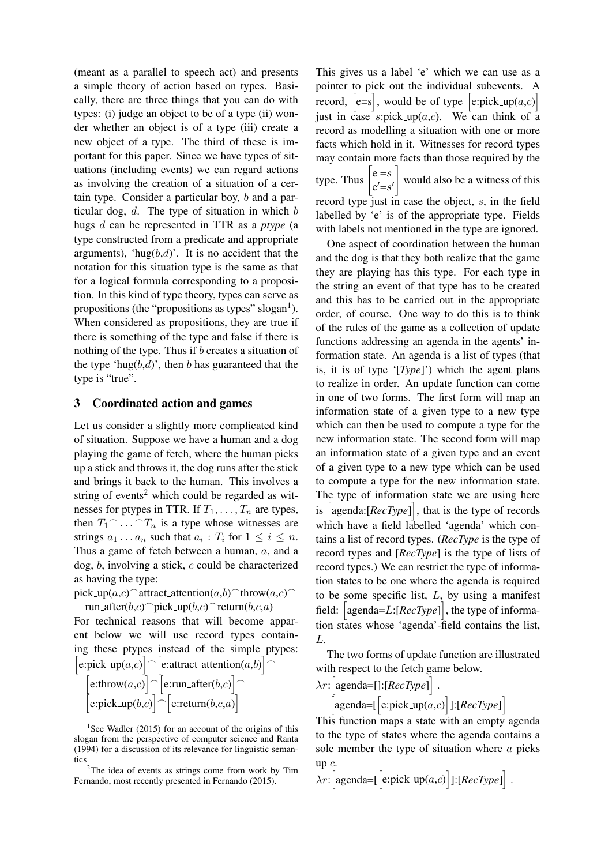(meant as a parallel to speech act) and presents a simple theory of action based on types. Basically, there are three things that you can do with types: (i) judge an object to be of a type (ii) wonder whether an object is of a type (iii) create a new object of a type. The third of these is important for this paper. Since we have types of situations (including events) we can regard actions as involving the creation of a situation of a certain type. Consider a particular boy, b and a particular dog,  $d$ . The type of situation in which  $b$ hugs d can be represented in TTR as a *ptype* (a type constructed from a predicate and appropriate arguments), 'hug $(b,d)$ '. It is no accident that the notation for this situation type is the same as that for a logical formula corresponding to a proposition. In this kind of type theory, types can serve as propositions (the "propositions as types" slogan<sup>1</sup>). When considered as propositions, they are true if there is something of the type and false if there is nothing of the type. Thus if b creates a situation of the type 'hug $(b,d)$ ', then b has guaranteed that the type is "true".

### 3 Coordinated action and games

Let us consider a slightly more complicated kind of situation. Suppose we have a human and a dog playing the game of fetch, where the human picks up a stick and throws it, the dog runs after the stick and brings it back to the human. This involves a string of events<sup>2</sup> which could be regarded as witnesses for ptypes in TTR. If  $T_1, \ldots, T_n$  are types, then  $T_1$ <sup> $\cap$ </sup> ...  $\cap$   $T_n$  is a type whose witnesses are strings  $a_1 \dots a_n$  such that  $a_i : T_i$  for  $1 \le i \le n$ . Thus a game of fetch between a human, a, and a dog, b, involving a stick, c could be characterized as having the type:

pick\_up( $a,c$ ) $\widehat{\phantom{a}}$  attract\_attention( $a,b$ ) $\widehat{\phantom{a}}$  throw( $a,c$ ) $\widehat{\phantom{a}}$ run\_after $(b,c)$ <sup>o</sup>pick\_up $(b,c)$ <sup>o</sup>return $(b,c,a)$ 

For technical reasons that will become apparent below we will use record types containing these ptypes instead of the simple ptypes:  $\lbrack$  e:pick\_up(a,c)  $\rbrack$   $\lbrack$  e:attract\_attention(a,b)  $\rbrack$   $\lbrack$ 

| $\left[e:\text{throw}(a,c)\right] \cap \left[e:\text{run}\_after(b,c)\right] \cap$ |
|------------------------------------------------------------------------------------|
| $\left[\text{e:pick\_up}(b,c)\right] \cap \left[\text{e:return}(b,c,a)\right]$     |

<sup>&</sup>lt;sup>1</sup>See Wadler (2015) for an account of the origins of this slogan from the perspective of computer science and Ranta (1994) for a discussion of its relevance for linguistic semantics

This gives us a label 'e' which we can use as a pointer to pick out the individual subevents. A record,  $[e=s]$ , would be of type  $[e:pick_up(a,c)]$ just in case  $s:pick\_up(a,c)$ . We can think of a record as modelling a situation with one or more facts which hold in it. Witnesses for record types may contain more facts than those required by the type. Thus  $e = s$ ]  $e' = s'$ would also be a witness of this record type just in case the object, s, in the field labelled by 'e' is of the appropriate type. Fields with labels not mentioned in the type are ignored.

One aspect of coordination between the human and the dog is that they both realize that the game they are playing has this type. For each type in the string an event of that type has to be created and this has to be carried out in the appropriate order, of course. One way to do this is to think of the rules of the game as a collection of update functions addressing an agenda in the agents' information state. An agenda is a list of types (that is, it is of type '[*Type*]') which the agent plans to realize in order. An update function can come in one of two forms. The first form will map an information state of a given type to a new type which can then be used to compute a type for the new information state. The second form will map an information state of a given type and an event of a given type to a new type which can be used to compute a type for the new information state. The type of information state we are using here is  $[a$ genda:[ $RecType$ ], that is the type of records which have a field labelled 'agenda' which contains a list of record types. (*RecType* is the type of record types and [*RecType*] is the type of lists of record types.) We can restrict the type of information states to be one where the agenda is required to be some specific list,  $L$ , by using a manifest field:  $[a$ genda=L:[ $RecType$ ], the type of information states whose 'agenda'-field contains the list, L.

The two forms of update function are illustrated with respect to the fetch game below.

 $\lambda r$ : [agenda=[]:[*RecType*]].

 $[a$ genda=[ $[e:pick_up(a,c)]$ ]:[ $RecType$ ]

This function maps a state with an empty agenda to the type of states where the agenda contains a sole member the type of situation where a picks up c.

 $\lambda r: \left[ \text{agenda} = \left[ \left[ e: \text{pick\_up}(a, c) \right] \right] : \left[ \text{RecType} \right] \right].$ 

<sup>&</sup>lt;sup>2</sup>The idea of events as strings come from work by Tim Fernando, most recently presented in Fernando (2015).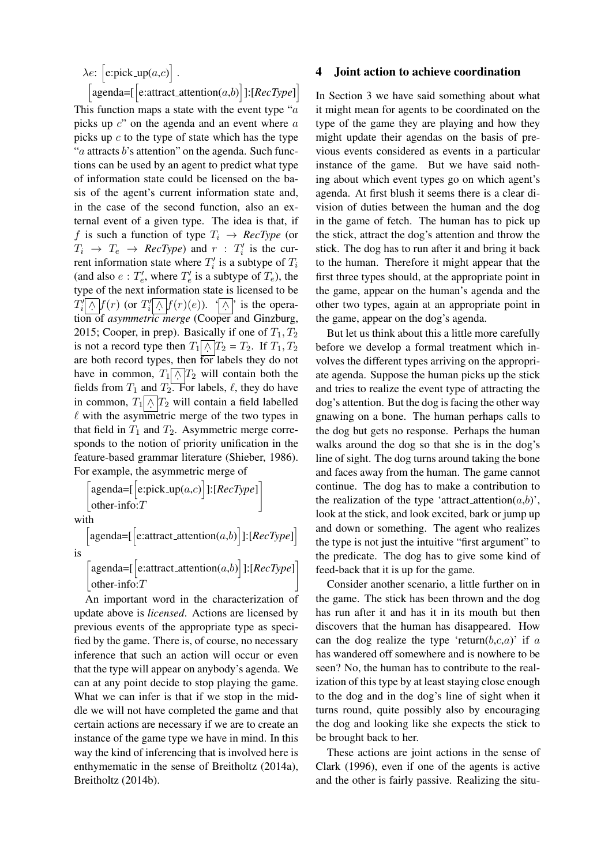# $\lambda e$ :  $\left[$ e:pick\_up(a,c) $\right]$ .

 $[a$ genda=[ $[e$ :attract\_attention(a,b)]:[ $RecType$ ] This function maps a state with the event type " $a$ picks up  $c$ " on the agenda and an event where  $a$ picks up  $c$  to the type of state which has the type "*a* attracts *b*'s attention" on the agenda. Such functions can be used by an agent to predict what type of information state could be licensed on the basis of the agent's current information state and, in the case of the second function, also an external event of a given type. The idea is that, if f is such a function of type  $T_i \rightarrow RecType$  (or  $T_i \rightarrow T_e \rightarrow RecType$  and  $r$  :  $T'_i$  is the current information state where  $T_i'$  is a subtype of  $T_i$ (and also  $e: T'_e$ , where  $T'_e$  is a subtype of  $T_e$ ), the type of the next information state is licensed to be  $T_i'[\![\,\widehat{\wedge}\,]f(r)$  (or  $T_i'[\![\widehat{\wedge}\,]f(r)(e)$ ). ' $[\![\widehat{\wedge}\,]$ ' is the operation of *asymmetric merge* (Cooper and Ginzburg, 2015; Cooper, in prep). Basically if one of  $T_1, T_2$ is not a record type then  $T_1 \wedge T_2 = T_2$ . If  $T_1, T_2$ are both record types, then for labels they do not have in common,  $T_1 \wedge T_2$  will contain both the fields from  $T_1$  and  $T_2$ . For labels,  $\ell$ , they do have in common,  $T_1 \wedge T_2$  will contain a field labelled  $\ell$  with the asymmetric merge of the two types in that field in  $T_1$  and  $T_2$ . Asymmetric merge corresponds to the notion of priority unification in the feature-based grammar literature (Shieber, 1986). For example, the asymmetric merge of

$$
\begin{bmatrix} \text{agenda=}\left[ \text{e:pick\_up}(a, c) \right] \text{]:} \left[ \text{RecType} \right] \\ \text{other-info:} T \end{bmatrix}
$$

with

 $[a$ genda=[ $[e$ :attract\_attention(a,b)]:[*RecType*]] is

 $\left[ \text{agenda} = \left[ \text{e:attract\_attention}(a, b) \right] \right] : [RecType]$ | other-info: $T$ 

An important word in the characterization of update above is *licensed*. Actions are licensed by previous events of the appropriate type as specified by the game. There is, of course, no necessary inference that such an action will occur or even that the type will appear on anybody's agenda. We can at any point decide to stop playing the game. What we can infer is that if we stop in the middle we will not have completed the game and that certain actions are necessary if we are to create an instance of the game type we have in mind. In this way the kind of inferencing that is involved here is enthymematic in the sense of Breitholtz (2014a), Breitholtz (2014b).

### 4 Joint action to achieve coordination

In Section 3 we have said something about what it might mean for agents to be coordinated on the type of the game they are playing and how they might update their agendas on the basis of previous events considered as events in a particular instance of the game. But we have said nothing about which event types go on which agent's agenda. At first blush it seems there is a clear division of duties between the human and the dog in the game of fetch. The human has to pick up the stick, attract the dog's attention and throw the stick. The dog has to run after it and bring it back to the human. Therefore it might appear that the first three types should, at the appropriate point in the game, appear on the human's agenda and the other two types, again at an appropriate point in the game, appear on the dog's agenda.

But let us think about this a little more carefully before we develop a formal treatment which involves the different types arriving on the appropriate agenda. Suppose the human picks up the stick and tries to realize the event type of attracting the dog's attention. But the dog is facing the other way gnawing on a bone. The human perhaps calls to the dog but gets no response. Perhaps the human walks around the dog so that she is in the dog's line of sight. The dog turns around taking the bone and faces away from the human. The game cannot continue. The dog has to make a contribution to the realization of the type 'attract\_attention $(a,b)$ ', look at the stick, and look excited, bark or jump up and down or something. The agent who realizes the type is not just the intuitive "first argument" to the predicate. The dog has to give some kind of feed-back that it is up for the game.

Consider another scenario, a little further on in the game. The stick has been thrown and the dog has run after it and has it in its mouth but then discovers that the human has disappeared. How can the dog realize the type 'return $(b,c,a)$ ' if a has wandered off somewhere and is nowhere to be seen? No, the human has to contribute to the realization of this type by at least staying close enough to the dog and in the dog's line of sight when it turns round, quite possibly also by encouraging the dog and looking like she expects the stick to be brought back to her.

These actions are joint actions in the sense of Clark (1996), even if one of the agents is active and the other is fairly passive. Realizing the situ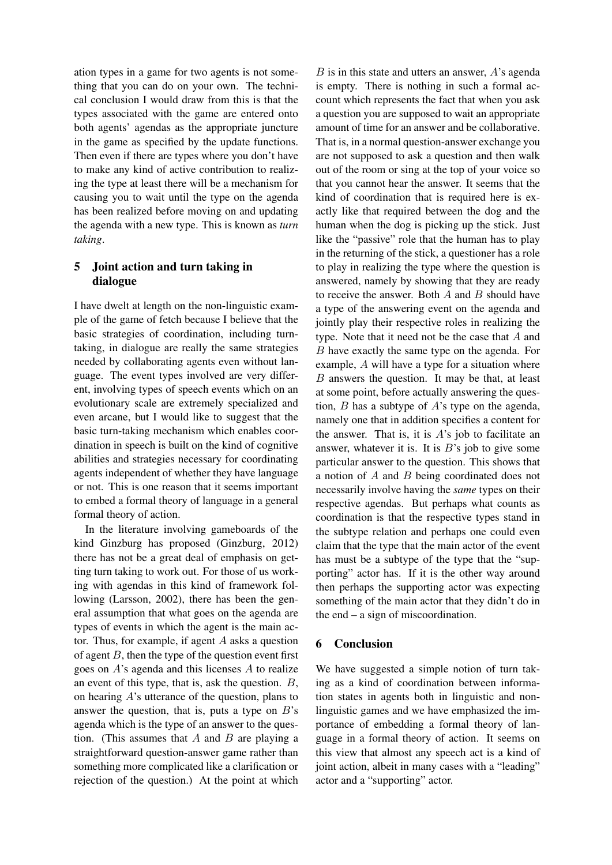ation types in a game for two agents is not something that you can do on your own. The technical conclusion I would draw from this is that the types associated with the game are entered onto both agents' agendas as the appropriate juncture in the game as specified by the update functions. Then even if there are types where you don't have to make any kind of active contribution to realizing the type at least there will be a mechanism for causing you to wait until the type on the agenda has been realized before moving on and updating the agenda with a new type. This is known as *turn taking*.

## 5 Joint action and turn taking in dialogue

I have dwelt at length on the non-linguistic example of the game of fetch because I believe that the basic strategies of coordination, including turntaking, in dialogue are really the same strategies needed by collaborating agents even without language. The event types involved are very different, involving types of speech events which on an evolutionary scale are extremely specialized and even arcane, but I would like to suggest that the basic turn-taking mechanism which enables coordination in speech is built on the kind of cognitive abilities and strategies necessary for coordinating agents independent of whether they have language or not. This is one reason that it seems important to embed a formal theory of language in a general formal theory of action.

In the literature involving gameboards of the kind Ginzburg has proposed (Ginzburg, 2012) there has not be a great deal of emphasis on getting turn taking to work out. For those of us working with agendas in this kind of framework following (Larsson, 2002), there has been the general assumption that what goes on the agenda are types of events in which the agent is the main actor. Thus, for example, if agent A asks a question of agent  $B$ , then the type of the question event first goes on  $A$ 's agenda and this licenses  $A$  to realize an event of this type, that is, ask the question. B, on hearing  $A$ 's utterance of the question, plans to answer the question, that is, puts a type on  $B$ 's agenda which is the type of an answer to the question. (This assumes that  $A$  and  $B$  are playing a straightforward question-answer game rather than something more complicated like a clarification or rejection of the question.) At the point at which

 $B$  is in this state and utters an answer,  $A$ 's agenda is empty. There is nothing in such a formal account which represents the fact that when you ask a question you are supposed to wait an appropriate amount of time for an answer and be collaborative. That is, in a normal question-answer exchange you are not supposed to ask a question and then walk out of the room or sing at the top of your voice so that you cannot hear the answer. It seems that the kind of coordination that is required here is exactly like that required between the dog and the human when the dog is picking up the stick. Just like the "passive" role that the human has to play in the returning of the stick, a questioner has a role to play in realizing the type where the question is answered, namely by showing that they are ready to receive the answer. Both  $A$  and  $B$  should have a type of the answering event on the agenda and jointly play their respective roles in realizing the type. Note that it need not be the case that A and B have exactly the same type on the agenda. For example, A will have a type for a situation where B answers the question. It may be that, at least at some point, before actually answering the question, B has a subtype of A's type on the agenda, namely one that in addition specifies a content for the answer. That is, it is  $A$ 's job to facilitate an answer, whatever it is. It is  $B$ 's job to give some particular answer to the question. This shows that a notion of A and B being coordinated does not necessarily involve having the *same* types on their respective agendas. But perhaps what counts as coordination is that the respective types stand in the subtype relation and perhaps one could even claim that the type that the main actor of the event has must be a subtype of the type that the "supporting" actor has. If it is the other way around then perhaps the supporting actor was expecting something of the main actor that they didn't do in the end – a sign of miscoordination.

## 6 Conclusion

We have suggested a simple notion of turn taking as a kind of coordination between information states in agents both in linguistic and nonlinguistic games and we have emphasized the importance of embedding a formal theory of language in a formal theory of action. It seems on this view that almost any speech act is a kind of joint action, albeit in many cases with a "leading" actor and a "supporting" actor.